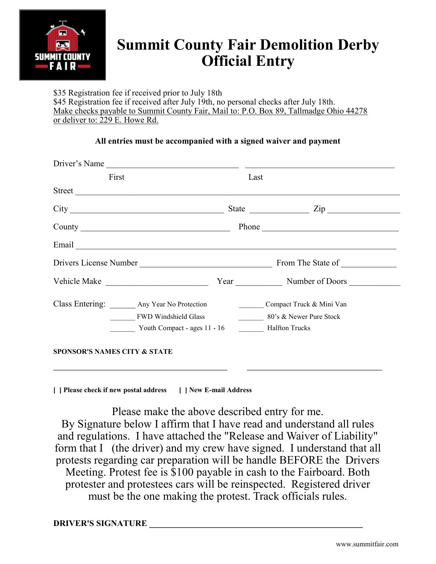

## **Summit County Fair Demolition Derby Official Entry**

\$35 Registration fee if received prior to July 18th \$45 Registration fee if received after July 19th, no personal checks after July 18th. Make checks payable to Summit County Fair, Mail to: P.O. Box 89, Tallmadge Ohio 44278 or deliver to: 229 E. Howe Rd.

#### **All entries must be accompanied with a signed waiver and payment**

|                                            | Driver's Name                                                              |                                                                                                                                                                                                                                                                                                                                                                 |
|--------------------------------------------|----------------------------------------------------------------------------|-----------------------------------------------------------------------------------------------------------------------------------------------------------------------------------------------------------------------------------------------------------------------------------------------------------------------------------------------------------------|
| First                                      |                                                                            | Last                                                                                                                                                                                                                                                                                                                                                            |
| Street                                     |                                                                            |                                                                                                                                                                                                                                                                                                                                                                 |
|                                            |                                                                            | State $\frac{1}{\sqrt{2\pi}}$ $\frac{1}{\sqrt{2\pi}}$ $\frac{1}{\sqrt{2\pi}}$ $\frac{1}{\sqrt{2\pi}}$ $\frac{1}{\sqrt{2\pi}}$ $\frac{1}{\sqrt{2\pi}}$ $\frac{1}{\sqrt{2\pi}}$ $\frac{1}{\sqrt{2\pi}}$ $\frac{1}{\sqrt{2\pi}}$ $\frac{1}{\sqrt{2\pi}}$ $\frac{1}{\sqrt{2\pi}}$ $\frac{1}{\sqrt{2\pi}}$ $\frac{1}{\sqrt{2\pi}}$ $\frac{1}{\sqrt{2\pi}}$ $\frac{1$ |
|                                            |                                                                            | Phone                                                                                                                                                                                                                                                                                                                                                           |
|                                            |                                                                            |                                                                                                                                                                                                                                                                                                                                                                 |
|                                            |                                                                            | Drivers License Number From The State of From The State of                                                                                                                                                                                                                                                                                                      |
| Vehicle Make National Accounts of the Make |                                                                            | Year Number of Doors                                                                                                                                                                                                                                                                                                                                            |
| Class Entering: Any Year No Protection     | <b>FWD Windshield Glass</b><br>Youth Compact - ages 11 - 16 Halfton Trucks | Compact Truck & Mini Van<br>80's & Newer Pure Stock                                                                                                                                                                                                                                                                                                             |
| <b>SPONSOR'S NAMES CITY &amp; STATE</b>    |                                                                            |                                                                                                                                                                                                                                                                                                                                                                 |

**[ ] Please check if new postal address [ ] New E-mail Address**

Please make the above described entry for me. By Signature below I affirm that I have read and understand all rules and regulations. I have attached the "Release and Waiver of Liability" form that I (the driver) and my crew have signed. I understand that all protests regarding car preparation will be handle BEFORE the Drivers Meeting. Protest fee is \$100 payable in cash to the Fairboard. Both protester and protestees cars will be reinspected. Registered driver must be the one making the protest. Track officials rules.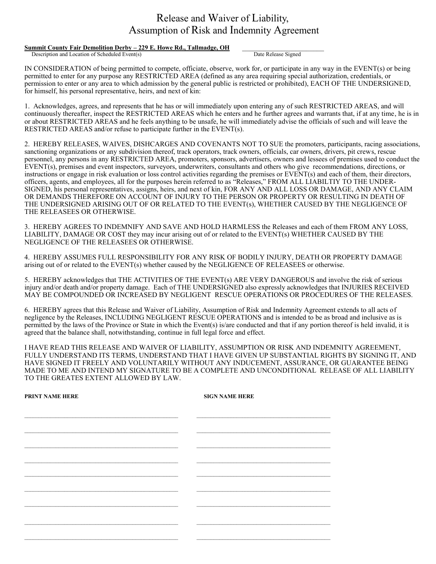#### Release and Waiver of Liability, Assumption of Risk and Indemnity Agreement

### **Summit County Fair Demolition Derby – 229 E. Howe Rd., Tallmadge, OH Description and Location of Scheduled Event(s)**

Description and Location of Scheduled Event(s)

IN CONSIDERATION of being permitted to compete, officiate, observe, work for, or participate in any way in the EVENT(s) or being permitted to enter for any purpose any RESTRICTED AREA (defined as any area requiring special authorization, credentials, or permission to enter or any area to which admission by the general public is restricted or prohibited), EACH OF THE UNDERSIGNED, for himself, his personal representative, heirs, and next of kin:

1. Acknowledges, agrees, and represents that he has or will immediately upon entering any of such RESTRICTED AREAS, and will continuously thereafter, inspect the RESTRICTED AREAS which he enters and he further agrees and warrants that, if at any time, he is in or about RESTRICTED AREAS and he feels anything to be unsafe, he will immediately advise the officials of such and will leave the RESTRICTED AREAS and/or refuse to participate further in the EVENT(s).

2. HEREBY RELEASES, WAIVES, DISHCARGES AND COVENANTS NOT TO SUE the promoters, participants, racing associations, sanctioning organizations or any subdivision thereof, track operators, track owners, officials, car owners, drivers, pit crews, rescue personnel, any persons in any RESTRICTED AREA, promoters, sponsors, advertisers, owners and lessees of premises used to conduct the EVENT(s), premises and event inspectors, surveyors, underwriters, consultants and others who give recommendations, directions, or instructions or engage in risk evaluation or loss control activities regarding the premises or EVENT(s) and each of them, their directors, officers, agents, and employees, all for the purposes herein referred to as "Releases," FROM ALL LIABILTIY TO THE UNDER-SIGNED, his personal representatives, assigns, heirs, and next of kin, FOR ANY AND ALL LOSS OR DAMAGE, AND ANY CLAIM OR DEMANDS THEREFORE ON ACCOUNT OF INJURY TO THE PERSON OR PROPERTY OR RESULTING IN DEATH OF THE UNDERSIGNED ARISING OUT OF OR RELATED TO THE EVENT(s), WHETHER CAUSED BY THE NEGLIGENCE OF THE RELEASEES OR OTHERWISE.

3. HEREBY AGREES TO INDEMNIFY AND SAVE AND HOLD HARMLESS the Releases and each of them FROM ANY LOSS, LIABILITY, DAMAGE OR COST they may incur arising out of or related to the EVENT(s) WHETHER CAUSED BY THE NEGLIGENCE OF THE RELEASEES OR OTHERWISE.

4. HEREBY ASSUMES FULL RESPONSIBILITY FOR ANY RISK OF BODILY INJURY, DEATH OR PROPERTY DAMAGE arising out of or related to the EVENT(s) whether caused by the NEGLIGENCE OF RELEASEES or otherwise.

5. HEREBY acknowledges that THE ACTIVITIES OF THE EVENT(s) ARE VERY DANGEROUS and involve the risk of serious injury and/or death and/or property damage. Each of THE UNDERSIGNED also expressly acknowledges that INJURIES RECEIVED MAY BE COMPOUNDED OR INCREASED BY NEGLIGENT RESCUE OPERATIONS OR PROCEDURES OF THE RELEASES.

6. HEREBY agrees that this Release and Waiver of Liability, Assumption of Risk and Indemnity Agreement extends to all acts of negligence by the Releases, INCLUDING NEGLIGENT RESCUE OPERATIONS and is intended to be as broad and inclusive as is permitted by the laws of the Province or State in which the Event(s) is/are conducted and that if any portion thereof is held invalid, it is agreed that the balance shall, notwithstanding, continue in full legal force and effect.

I HAVE READ THIS RELEASE AND WAIVER OF LIABILITY, ASSUMPTION OR RISK AND INDEMNITY AGREEMENT, FULLY UNDERSTAND ITS TERMS, UNDERSTAND THAT I HAVE GIVEN UP SUBSTANTIAL RIGHTS BY SIGNING IT, AND HAVE SIGNED IT FREELY AND VOLUNTARILY WITHOUT ANY INDUCEMENT, ASSURANCE, OR GUARANTEE BEING MADE TO ME AND INTEND MY SIGNATURE TO BE A COMPLETE AND UNCONDITIONAL RELEASE OF ALL LIABILITY TO THE GREATES EXTENT ALLOWED BY LAW.

| <b>PRINT NAME HERE</b>                                                                                                 | <b>SIGN NAME HERE</b>                                                                                                  |
|------------------------------------------------------------------------------------------------------------------------|------------------------------------------------------------------------------------------------------------------------|
| <u> 1989 - Johann John Harry Harry Harry Harry Harry Harry Harry Harry Harry Harry Harry Harry Harry Harry Harry H</u> |                                                                                                                        |
|                                                                                                                        |                                                                                                                        |
|                                                                                                                        |                                                                                                                        |
|                                                                                                                        |                                                                                                                        |
| $\overline{\phantom{a}}$                                                                                               |                                                                                                                        |
|                                                                                                                        | <u> 1989 - Johann John Harry Harry Harry Harry Harry Harry Harry Harry Harry Harry Harry Harry Harry Harry Harry H</u> |
|                                                                                                                        |                                                                                                                        |
|                                                                                                                        |                                                                                                                        |
|                                                                                                                        |                                                                                                                        |
|                                                                                                                        |                                                                                                                        |